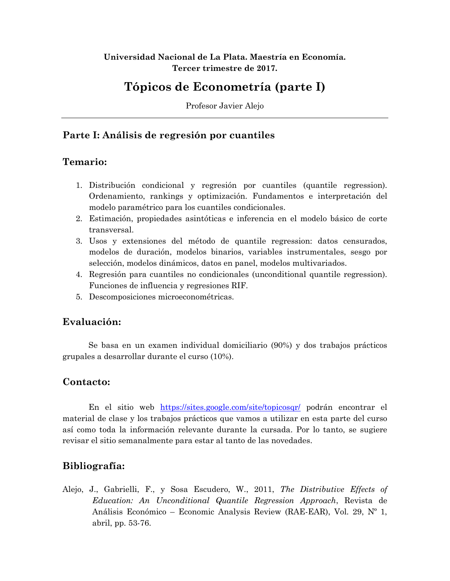#### **Universidad Nacional de La Plata. Maestría en Economía. Tercer trimestre de 2017.**

# **Tópicos de Econometría (parte I)**

Profesor Javier Alejo

# **Parte I: Análisis de regresión por cuantiles**

#### **Temario:**

- 1. Distribución condicional y regresión por cuantiles (quantile regression). Ordenamiento, rankings y optimización. Fundamentos e interpretación del modelo paramétrico para los cuantiles condicionales.
- 2. Estimación, propiedades asintóticas e inferencia en el modelo básico de corte transversal.
- 3. Usos y extensiones del método de quantile regression: datos censurados, modelos de duración, modelos binarios, variables instrumentales, sesgo por selección, modelos dinámicos, datos en panel, modelos multivariados.
- 4. Regresión para cuantiles no condicionales (unconditional quantile regression). Funciones de influencia y regresiones RIF.
- 5. Descomposiciones microeconométricas.

# **Evaluación:**

Se basa en un examen individual domiciliario (90%) y dos trabajos prácticos grupales a desarrollar durante el curso (10%).

# **Contacto:**

En el sitio web <https://sites.google.com/site/topicosqr/> podrán encontrar el material de clase y los trabajos prácticos que vamos a utilizar en esta parte del curso así como toda la información relevante durante la cursada. Por lo tanto, se sugiere revisar el sitio semanalmente para estar al tanto de las novedades.

# **Bibliografía:**

Alejo, J., Gabrielli, F., y Sosa Escudero, W., 2011, *The Distributive Effects of Education: An Unconditional Quantile Regression Approach*, Revista de Análisis Económico – Economic Analysis Review (RAE-EAR), Vol. 29, Nº 1, abril, pp. 53-76.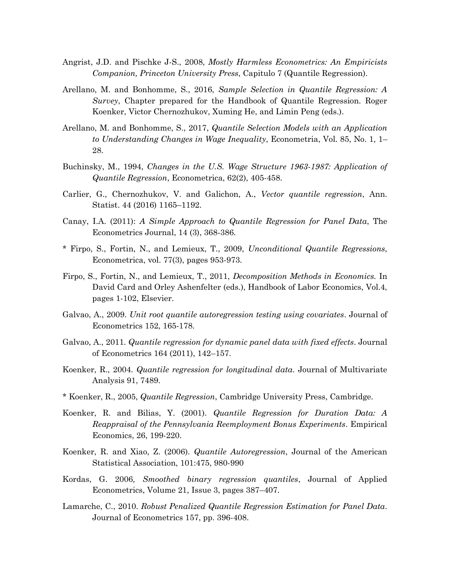- Angrist, J.D. and Pischke J-S., 2008, *Mostly Harmless Econometrics: An Empiricists Companion, Princeton University Press*, Capitulo 7 (Quantile Regression).
- Arellano, M. and Bonhomme, S., 2016, *Sample Selection in Quantile Regression: A Survey*, Chapter prepared for the Handbook of Quantile Regression. Roger Koenker, Victor Chernozhukov, Xuming He, and Limin Peng (eds.).
- Arellano, M. and Bonhomme, S., 2017, *Quantile Selection Models with an Application to Understanding Changes in Wage Inequality*, Econometria, Vol. 85, No. 1, 1– 28.
- Buchinsky, M., 1994, *Changes in the U.S. Wage Structure 1963-1987: Application of Quantile Regression*, Econometrica, 62(2), 405-458.
- Carlier, G., Chernozhukov, V. and Galichon, A., *Vector quantile regression*, Ann. Statist. 44 (2016) 1165–1192.
- Canay, I.A. (2011): *A Simple Approach to Quantile Regression for Panel Data*, The Econometrics Journal, 14 (3), 368-386.
- \* Firpo, S., Fortin, N., and Lemieux, T., 2009, *Unconditional Quantile Regressions*, Econometrica, vol. 77(3), pages 953-973.
- Firpo, S., Fortin, N., and Lemieux, T., 2011, *Decomposition Methods in Economics.* In David Card and Orley Ashenfelter (eds.), Handbook of Labor Economics, Vol.4, pages 1-102, Elsevier.
- Galvao, A., 2009. *Unit root quantile autoregression testing using covariates*. Journal of Econometrics 152, 165-178.
- Galvao, A., 2011. *Quantile regression for dynamic panel data with fixed effects*. Journal of Econometrics 164 (2011), 142–157.
- Koenker, R., 2004. *Quantile regression for longitudinal data*. Journal of Multivariate Analysis 91, 7489.
- \* Koenker, R., 2005, *Quantile Regression*, Cambridge University Press, Cambridge.
- Koenker, R. and Bilias, Y. (2001). *Quantile Regression for Duration Data: A Reappraisal of the Pennsylvania Reemployment Bonus Experiments*. Empirical Economics, 26, 199-220.
- Koenker, R. and Xiao, Z. (2006). *Quantile Autoregression*, Journal of the American Statistical Association, 101:475, 980-990
- Kordas, G. 2006*, Smoothed binary regression quantiles*, Journal of Applied Econometrics, Volume 21, Issue 3, pages 387–407.
- Lamarche, C., 2010. *Robust Penalized Quantile Regression Estimation for Panel Data*. Journal of Econometrics 157, pp. 396-408.